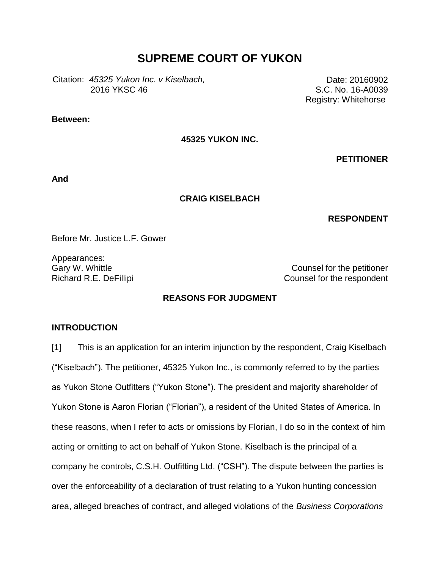# **SUPREME COURT OF YUKON**

Citation: 45325 Yukon Inc. v Kiselbach, 2016 YKSC 46

**Between:**

**45325 YUKON INC.**

**PETITIONER**

Date: 20160902 S.C. No. 16-A0039 Registry: Whitehorse

**And**

#### **CRAIG KISELBACH**

### **RESPONDENT**

Before Mr. Justice L.F. Gower

Appearances:

Gary W. Whittle Counsel for the petitioner Richard R.E. DeFillipi **Counsel for the respondent** 

## **REASONS FOR JUDGMENT**

### **INTRODUCTION**

[1] This is an application for an interim injunction by the respondent, Craig Kiselbach ("Kiselbach"). The petitioner, 45325 Yukon Inc., is commonly referred to by the parties as Yukon Stone Outfitters ("Yukon Stone"). The president and majority shareholder of Yukon Stone is Aaron Florian ("Florian"), a resident of the United States of America. In these reasons, when I refer to acts or omissions by Florian, I do so in the context of him acting or omitting to act on behalf of Yukon Stone. Kiselbach is the principal of a company he controls, C.S.H. Outfitting Ltd. ("CSH"). The dispute between the parties is over the enforceability of a declaration of trust relating to a Yukon hunting concession area, alleged breaches of contract, and alleged violations of the *Business Corporations*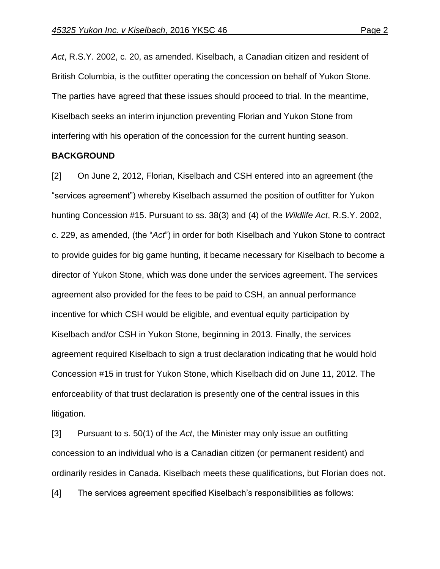*Act*, R.S.Y. 2002, c. 20, as amended. Kiselbach, a Canadian citizen and resident of British Columbia, is the outfitter operating the concession on behalf of Yukon Stone. The parties have agreed that these issues should proceed to trial. In the meantime, Kiselbach seeks an interim injunction preventing Florian and Yukon Stone from interfering with his operation of the concession for the current hunting season.

#### **BACKGROUND**

[2] On June 2, 2012, Florian, Kiselbach and CSH entered into an agreement (the "services agreement") whereby Kiselbach assumed the position of outfitter for Yukon hunting Concession #15. Pursuant to ss. 38(3) and (4) of the *Wildlife Act*, R.S.Y. 2002, c. 229, as amended, (the "*Act*") in order for both Kiselbach and Yukon Stone to contract to provide guides for big game hunting, it became necessary for Kiselbach to become a director of Yukon Stone, which was done under the services agreement. The services agreement also provided for the fees to be paid to CSH, an annual performance incentive for which CSH would be eligible, and eventual equity participation by Kiselbach and/or CSH in Yukon Stone, beginning in 2013. Finally, the services agreement required Kiselbach to sign a trust declaration indicating that he would hold Concession #15 in trust for Yukon Stone, which Kiselbach did on June 11, 2012. The enforceability of that trust declaration is presently one of the central issues in this litigation.

[3] Pursuant to s. 50(1) of the *Act*, the Minister may only issue an outfitting concession to an individual who is a Canadian citizen (or permanent resident) and ordinarily resides in Canada. Kiselbach meets these qualifications, but Florian does not.

[4] The services agreement specified Kiselbach's responsibilities as follows: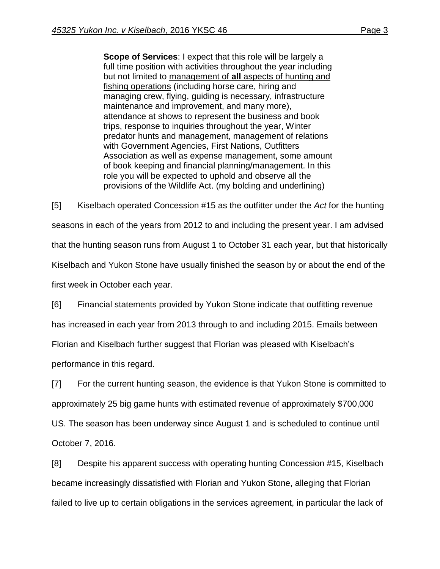**Scope of Services**: I expect that this role will be largely a full time position with activities throughout the year including but not limited to management of **all** aspects of hunting and fishing operations (including horse care, hiring and managing crew, flying, guiding is necessary, infrastructure maintenance and improvement, and many more), attendance at shows to represent the business and book trips, response to inquiries throughout the year, Winter predator hunts and management, management of relations with Government Agencies, First Nations, Outfitters Association as well as expense management, some amount of book keeping and financial planning/management. In this role you will be expected to uphold and observe all the provisions of the Wildlife Act. (my bolding and underlining)

[5] Kiselbach operated Concession #15 as the outfitter under the *Act* for the hunting seasons in each of the years from 2012 to and including the present year. I am advised that the hunting season runs from August 1 to October 31 each year, but that historically Kiselbach and Yukon Stone have usually finished the season by or about the end of the first week in October each year.

[6] Financial statements provided by Yukon Stone indicate that outfitting revenue has increased in each year from 2013 through to and including 2015. Emails between Florian and Kiselbach further suggest that Florian was pleased with Kiselbach's performance in this regard.

[7] For the current hunting season, the evidence is that Yukon Stone is committed to approximately 25 big game hunts with estimated revenue of approximately \$700,000 US. The season has been underway since August 1 and is scheduled to continue until October 7, 2016.

[8] Despite his apparent success with operating hunting Concession #15, Kiselbach became increasingly dissatisfied with Florian and Yukon Stone, alleging that Florian failed to live up to certain obligations in the services agreement, in particular the lack of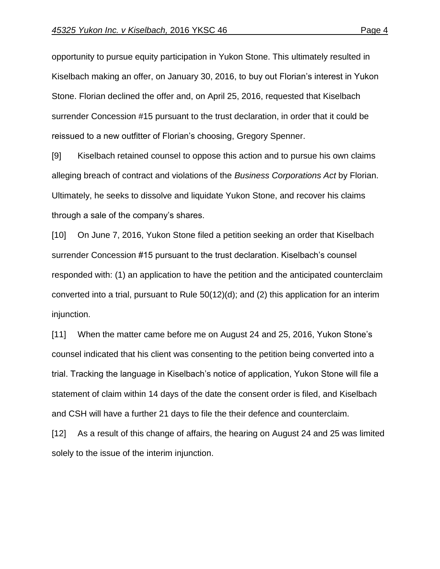opportunity to pursue equity participation in Yukon Stone. This ultimately resulted in Kiselbach making an offer, on January 30, 2016, to buy out Florian's interest in Yukon Stone. Florian declined the offer and, on April 25, 2016, requested that Kiselbach surrender Concession #15 pursuant to the trust declaration, in order that it could be reissued to a new outfitter of Florian's choosing, Gregory Spenner.

[9] Kiselbach retained counsel to oppose this action and to pursue his own claims alleging breach of contract and violations of the *Business Corporations Act* by Florian. Ultimately, he seeks to dissolve and liquidate Yukon Stone, and recover his claims through a sale of the company's shares.

[10] On June 7, 2016, Yukon Stone filed a petition seeking an order that Kiselbach surrender Concession #15 pursuant to the trust declaration. Kiselbach's counsel responded with: (1) an application to have the petition and the anticipated counterclaim converted into a trial, pursuant to Rule 50(12)(d); and (2) this application for an interim injunction.

[11] When the matter came before me on August 24 and 25, 2016, Yukon Stone's counsel indicated that his client was consenting to the petition being converted into a trial. Tracking the language in Kiselbach's notice of application, Yukon Stone will file a statement of claim within 14 days of the date the consent order is filed, and Kiselbach and CSH will have a further 21 days to file the their defence and counterclaim.

[12] As a result of this change of affairs, the hearing on August 24 and 25 was limited solely to the issue of the interim injunction.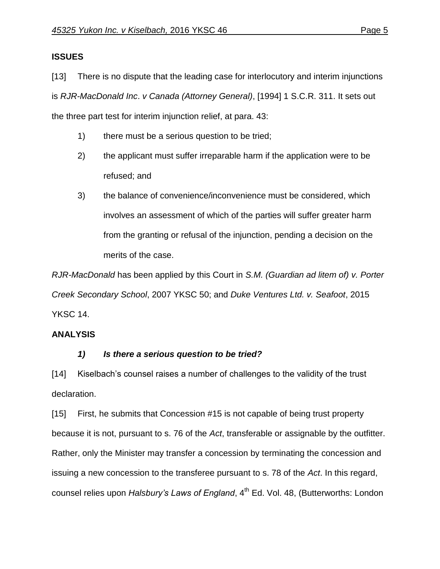## **ISSUES**

[13] There is no dispute that the leading case for interlocutory and interim injunctions is *RJR-MacDonald Inc*. *v Canada (Attorney General)*, [1994] 1 S.C.R. 311. It sets out the three part test for interim injunction relief, at para. 43:

- 1) there must be a serious question to be tried;
- 2) the applicant must suffer irreparable harm if the application were to be refused; and
- 3) the balance of convenience/inconvenience must be considered, which involves an assessment of which of the parties will suffer greater harm from the granting or refusal of the injunction, pending a decision on the merits of the case.

*RJR-MacDonald* has been applied by this Court in *S.M. (Guardian ad litem of) v. Porter Creek Secondary School*, 2007 YKSC 50; and *Duke Ventures Ltd. v. Seafoot*, 2015 YKSC 14.

# **ANALYSIS**

# *1) Is there a serious question to be tried?*

[14] Kiselbach's counsel raises a number of challenges to the validity of the trust declaration.

[15] First, he submits that Concession #15 is not capable of being trust property because it is not, pursuant to s. 76 of the *Act*, transferable or assignable by the outfitter. Rather, only the Minister may transfer a concession by terminating the concession and issuing a new concession to the transferee pursuant to s. 78 of the *Act*. In this regard, counsel relies upon *Halsbury's Laws of England*, 4<sup>th</sup> Ed. Vol. 48, (Butterworths: London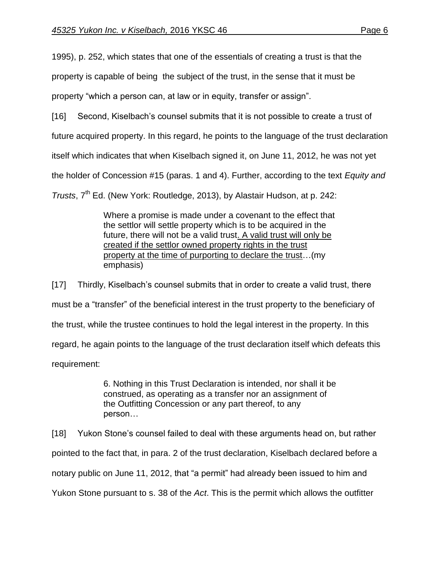1995), p. 252, which states that one of the essentials of creating a trust is that the

property is capable of being the subject of the trust, in the sense that it must be

property "which a person can, at law or in equity, transfer or assign".

[16] Second, Kiselbach's counsel submits that it is not possible to create a trust of

future acquired property. In this regard, he points to the language of the trust declaration

itself which indicates that when Kiselbach signed it, on June 11, 2012, he was not yet

the holder of Concession #15 (paras. 1 and 4). Further, according to the text *Equity and* 

*Trusts*, 7<sup>th</sup> Ed. (New York: Routledge, 2013), by Alastair Hudson, at p. 242:

Where a promise is made under a covenant to the effect that the settlor will settle property which is to be acquired in the future, there will not be a valid trust. A valid trust will only be created if the settlor owned property rights in the trust property at the time of purporting to declare the trust…(my emphasis)

[17] Thirdly, Kiselbach's counsel submits that in order to create a valid trust, there must be a "transfer" of the beneficial interest in the trust property to the beneficiary of the trust, while the trustee continues to hold the legal interest in the property. In this regard, he again points to the language of the trust declaration itself which defeats this requirement:

> 6. Nothing in this Trust Declaration is intended, nor shall it be construed, as operating as a transfer nor an assignment of the Outfitting Concession or any part thereof, to any person…

[18] Yukon Stone's counsel failed to deal with these arguments head on, but rather pointed to the fact that, in para. 2 of the trust declaration, Kiselbach declared before a notary public on June 11, 2012, that "a permit" had already been issued to him and Yukon Stone pursuant to s. 38 of the *Act*. This is the permit which allows the outfitter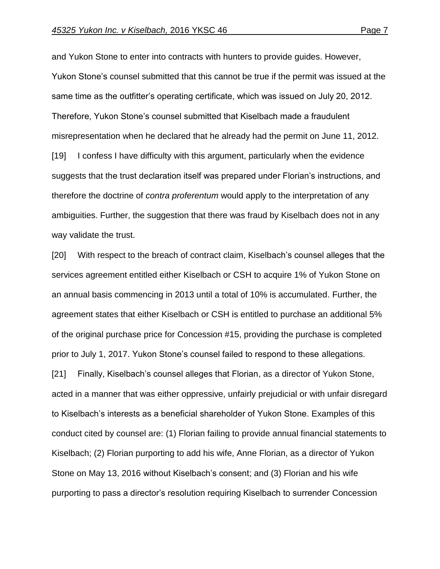and Yukon Stone to enter into contracts with hunters to provide guides. However, Yukon Stone's counsel submitted that this cannot be true if the permit was issued at the same time as the outfitter's operating certificate, which was issued on July 20, 2012. Therefore, Yukon Stone's counsel submitted that Kiselbach made a fraudulent misrepresentation when he declared that he already had the permit on June 11, 2012. [19] I confess I have difficulty with this argument, particularly when the evidence suggests that the trust declaration itself was prepared under Florian's instructions, and therefore the doctrine of *contra proferentum* would apply to the interpretation of any ambiguities. Further, the suggestion that there was fraud by Kiselbach does not in any way validate the trust.

[20] With respect to the breach of contract claim, Kiselbach's counsel alleges that the services agreement entitled either Kiselbach or CSH to acquire 1% of Yukon Stone on an annual basis commencing in 2013 until a total of 10% is accumulated. Further, the agreement states that either Kiselbach or CSH is entitled to purchase an additional 5% of the original purchase price for Concession #15, providing the purchase is completed prior to July 1, 2017. Yukon Stone's counsel failed to respond to these allegations. [21] Finally, Kiselbach's counsel alleges that Florian, as a director of Yukon Stone, acted in a manner that was either oppressive, unfairly prejudicial or with unfair disregard to Kiselbach's interests as a beneficial shareholder of Yukon Stone. Examples of this conduct cited by counsel are: (1) Florian failing to provide annual financial statements to Kiselbach; (2) Florian purporting to add his wife, Anne Florian, as a director of Yukon Stone on May 13, 2016 without Kiselbach's consent; and (3) Florian and his wife purporting to pass a director's resolution requiring Kiselbach to surrender Concession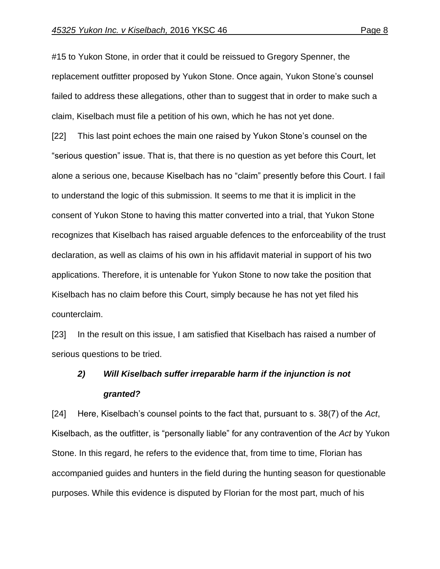#15 to Yukon Stone, in order that it could be reissued to Gregory Spenner, the replacement outfitter proposed by Yukon Stone. Once again, Yukon Stone's counsel failed to address these allegations, other than to suggest that in order to make such a claim, Kiselbach must file a petition of his own, which he has not yet done.

[22] This last point echoes the main one raised by Yukon Stone's counsel on the "serious question" issue. That is, that there is no question as yet before this Court, let alone a serious one, because Kiselbach has no "claim" presently before this Court. I fail to understand the logic of this submission. It seems to me that it is implicit in the consent of Yukon Stone to having this matter converted into a trial, that Yukon Stone recognizes that Kiselbach has raised arguable defences to the enforceability of the trust declaration, as well as claims of his own in his affidavit material in support of his two applications. Therefore, it is untenable for Yukon Stone to now take the position that Kiselbach has no claim before this Court, simply because he has not yet filed his counterclaim.

[23] In the result on this issue, I am satisfied that Kiselbach has raised a number of serious questions to be tried.

# *2) Will Kiselbach suffer irreparable harm if the injunction is not granted?*

[24] Here, Kiselbach's counsel points to the fact that, pursuant to s. 38(7) of the *Act*, Kiselbach, as the outfitter, is "personally liable" for any contravention of the *Act* by Yukon Stone. In this regard, he refers to the evidence that, from time to time, Florian has accompanied guides and hunters in the field during the hunting season for questionable purposes. While this evidence is disputed by Florian for the most part, much of his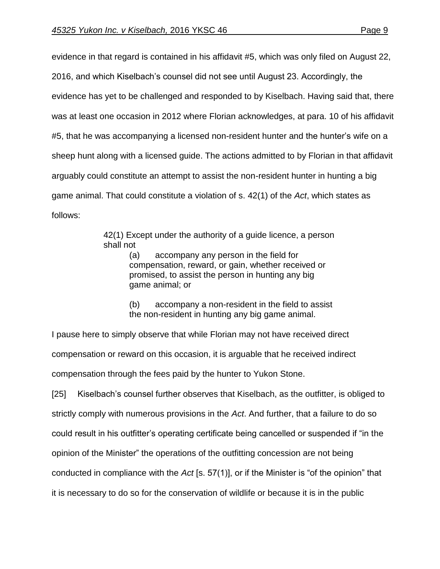evidence in that regard is contained in his affidavit #5, which was only filed on August 22, 2016, and which Kiselbach's counsel did not see until August 23. Accordingly, the evidence has yet to be challenged and responded to by Kiselbach. Having said that, there was at least one occasion in 2012 where Florian acknowledges, at para. 10 of his affidavit #5, that he was accompanying a licensed non-resident hunter and the hunter's wife on a sheep hunt along with a licensed guide. The actions admitted to by Florian in that affidavit arguably could constitute an attempt to assist the non-resident hunter in hunting a big game animal. That could constitute a violation of s. 42(1) of the *Act*, which states as follows:

> 42(1) Except under the authority of a guide licence, a person shall not

> > (a) accompany any person in the field for compensation, reward, or gain, whether received or promised, to assist the person in hunting any big game animal; or

(b) accompany a non-resident in the field to assist the non-resident in hunting any big game animal.

I pause here to simply observe that while Florian may not have received direct compensation or reward on this occasion, it is arguable that he received indirect compensation through the fees paid by the hunter to Yukon Stone.

[25] Kiselbach's counsel further observes that Kiselbach, as the outfitter, is obliged to strictly comply with numerous provisions in the *Act*. And further, that a failure to do so could result in his outfitter's operating certificate being cancelled or suspended if "in the opinion of the Minister" the operations of the outfitting concession are not being conducted in compliance with the *Act* [s. 57(1)], or if the Minister is "of the opinion" that it is necessary to do so for the conservation of wildlife or because it is in the public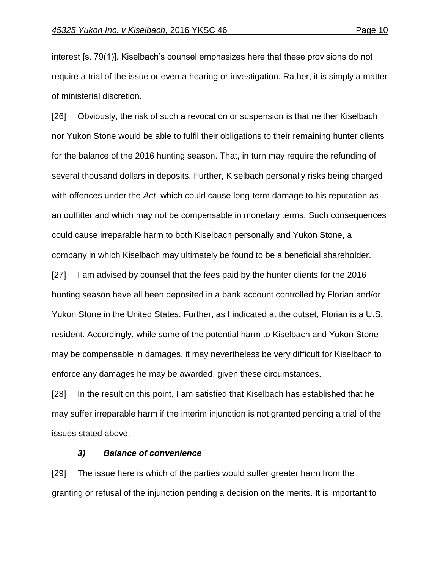interest [s. 79(1)]. Kiselbach's counsel emphasizes here that these provisions do not require a trial of the issue or even a hearing or investigation. Rather, it is simply a matter of ministerial discretion.

[26] Obviously, the risk of such a revocation or suspension is that neither Kiselbach nor Yukon Stone would be able to fulfil their obligations to their remaining hunter clients for the balance of the 2016 hunting season. That, in turn may require the refunding of several thousand dollars in deposits. Further, Kiselbach personally risks being charged with offences under the *Act*, which could cause long-term damage to his reputation as an outfitter and which may not be compensable in monetary terms. Such consequences could cause irreparable harm to both Kiselbach personally and Yukon Stone, a company in which Kiselbach may ultimately be found to be a beneficial shareholder.

[27] I am advised by counsel that the fees paid by the hunter clients for the 2016 hunting season have all been deposited in a bank account controlled by Florian and/or Yukon Stone in the United States. Further, as I indicated at the outset, Florian is a U.S. resident. Accordingly, while some of the potential harm to Kiselbach and Yukon Stone may be compensable in damages, it may nevertheless be very difficult for Kiselbach to enforce any damages he may be awarded, given these circumstances.

[28] In the result on this point, I am satisfied that Kiselbach has established that he may suffer irreparable harm if the interim injunction is not granted pending a trial of the issues stated above.

#### *3) Balance of convenience*

[29] The issue here is which of the parties would suffer greater harm from the granting or refusal of the injunction pending a decision on the merits. It is important to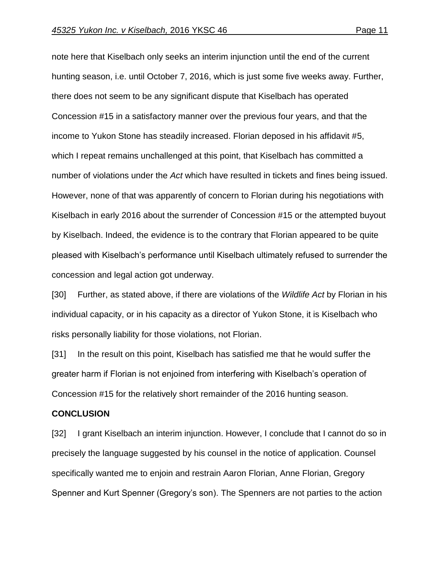note here that Kiselbach only seeks an interim injunction until the end of the current hunting season, i.e. until October 7, 2016, which is just some five weeks away. Further, there does not seem to be any significant dispute that Kiselbach has operated Concession #15 in a satisfactory manner over the previous four years, and that the income to Yukon Stone has steadily increased. Florian deposed in his affidavit #5, which I repeat remains unchallenged at this point, that Kiselbach has committed a number of violations under the *Act* which have resulted in tickets and fines being issued. However, none of that was apparently of concern to Florian during his negotiations with Kiselbach in early 2016 about the surrender of Concession #15 or the attempted buyout by Kiselbach. Indeed, the evidence is to the contrary that Florian appeared to be quite pleased with Kiselbach's performance until Kiselbach ultimately refused to surrender the concession and legal action got underway.

[30] Further, as stated above, if there are violations of the *Wildlife Act* by Florian in his individual capacity, or in his capacity as a director of Yukon Stone, it is Kiselbach who risks personally liability for those violations, not Florian.

[31] In the result on this point, Kiselbach has satisfied me that he would suffer the greater harm if Florian is not enjoined from interfering with Kiselbach's operation of Concession #15 for the relatively short remainder of the 2016 hunting season.

#### **CONCLUSION**

[32] I grant Kiselbach an interim injunction. However, I conclude that I cannot do so in precisely the language suggested by his counsel in the notice of application. Counsel specifically wanted me to enjoin and restrain Aaron Florian, Anne Florian, Gregory Spenner and Kurt Spenner (Gregory's son). The Spenners are not parties to the action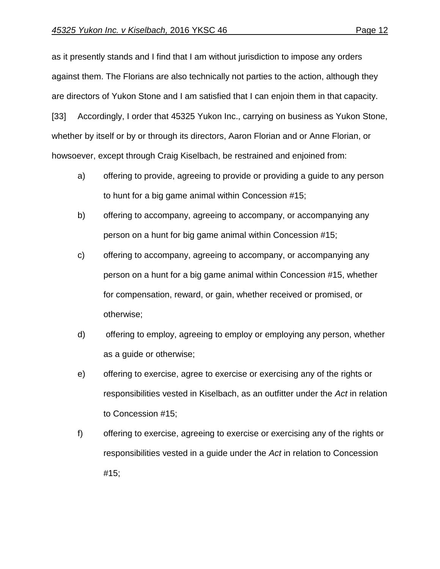as it presently stands and I find that I am without jurisdiction to impose any orders against them. The Florians are also technically not parties to the action, although they are directors of Yukon Stone and I am satisfied that I can enjoin them in that capacity. [33] Accordingly, I order that 45325 Yukon Inc., carrying on business as Yukon Stone, whether by itself or by or through its directors, Aaron Florian and or Anne Florian, or

howsoever, except through Craig Kiselbach, be restrained and enjoined from:

- a) offering to provide, agreeing to provide or providing a guide to any person to hunt for a big game animal within Concession #15;
- b) offering to accompany, agreeing to accompany, or accompanying any person on a hunt for big game animal within Concession #15;
- c) offering to accompany, agreeing to accompany, or accompanying any person on a hunt for a big game animal within Concession #15, whether for compensation, reward, or gain, whether received or promised, or otherwise;
- d) offering to employ, agreeing to employ or employing any person, whether as a guide or otherwise;
- e) offering to exercise, agree to exercise or exercising any of the rights or responsibilities vested in Kiselbach, as an outfitter under the *Act* in relation to Concession #15;
- f) offering to exercise, agreeing to exercise or exercising any of the rights or responsibilities vested in a guide under the *Act* in relation to Concession #15;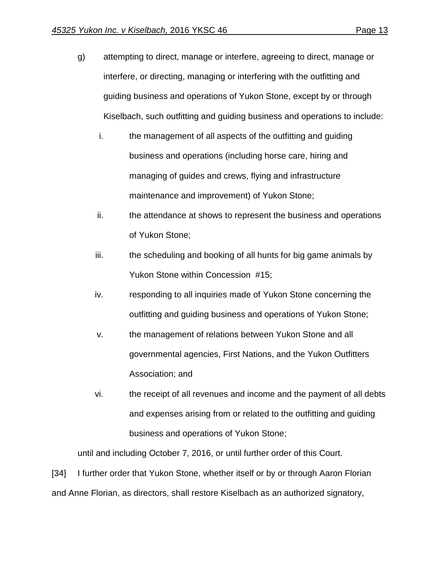- g) attempting to direct, manage or interfere, agreeing to direct, manage or interfere, or directing, managing or interfering with the outfitting and guiding business and operations of Yukon Stone, except by or through Kiselbach, such outfitting and guiding business and operations to include:
	- i. the management of all aspects of the outfitting and guiding business and operations (including horse care, hiring and managing of guides and crews, flying and infrastructure maintenance and improvement) of Yukon Stone;
	- ii. the attendance at shows to represent the business and operations of Yukon Stone;
	- iii. the scheduling and booking of all hunts for big game animals by Yukon Stone within Concession #15;
	- iv. responding to all inquiries made of Yukon Stone concerning the outfitting and guiding business and operations of Yukon Stone;
	- v. the management of relations between Yukon Stone and all governmental agencies, First Nations, and the Yukon Outfitters Association; and
	- vi. the receipt of all revenues and income and the payment of all debts and expenses arising from or related to the outfitting and guiding business and operations of Yukon Stone;

until and including October 7, 2016, or until further order of this Court.

[34] I further order that Yukon Stone, whether itself or by or through Aaron Florian and Anne Florian, as directors, shall restore Kiselbach as an authorized signatory,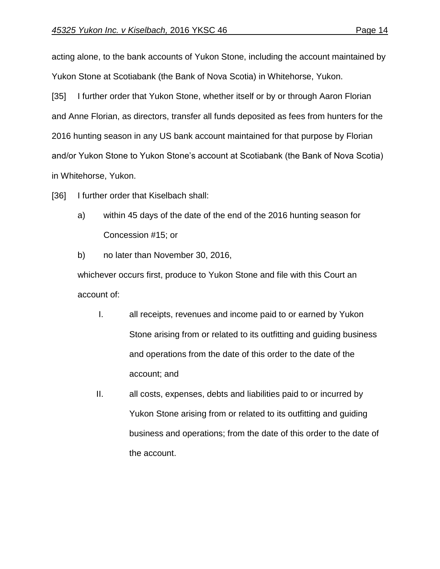acting alone, to the bank accounts of Yukon Stone, including the account maintained by Yukon Stone at Scotiabank (the Bank of Nova Scotia) in Whitehorse, Yukon.

[35] I further order that Yukon Stone, whether itself or by or through Aaron Florian and Anne Florian, as directors, transfer all funds deposited as fees from hunters for the 2016 hunting season in any US bank account maintained for that purpose by Florian and/or Yukon Stone to Yukon Stone's account at Scotiabank (the Bank of Nova Scotia) in Whitehorse, Yukon.

[36] I further order that Kiselbach shall:

- a) within 45 days of the date of the end of the 2016 hunting season for Concession #15; or
- b) no later than November 30, 2016,

whichever occurs first, produce to Yukon Stone and file with this Court an account of:

- I. all receipts, revenues and income paid to or earned by Yukon Stone arising from or related to its outfitting and guiding business and operations from the date of this order to the date of the account; and
- II. all costs, expenses, debts and liabilities paid to or incurred by Yukon Stone arising from or related to its outfitting and guiding business and operations; from the date of this order to the date of the account.